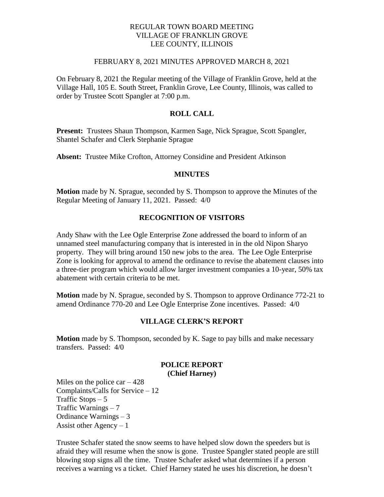## REGULAR TOWN BOARD MEETING VILLAGE OF FRANKLIN GROVE LEE COUNTY, ILLINOIS

#### FEBRUARY 8, 2021 MINUTES APPROVED MARCH 8, 2021

On February 8, 2021 the Regular meeting of the Village of Franklin Grove, held at the Village Hall, 105 E. South Street, Franklin Grove, Lee County, Illinois, was called to order by Trustee Scott Spangler at 7:00 p.m.

## **ROLL CALL**

**Present:** Trustees Shaun Thompson, Karmen Sage, Nick Sprague, Scott Spangler, Shantel Schafer and Clerk Stephanie Sprague

**Absent:** Trustee Mike Crofton, Attorney Considine and President Atkinson

#### **MINUTES**

**Motion** made by N. Sprague, seconded by S. Thompson to approve the Minutes of the Regular Meeting of January 11, 2021. Passed: 4/0

#### **RECOGNITION OF VISITORS**

Andy Shaw with the Lee Ogle Enterprise Zone addressed the board to inform of an unnamed steel manufacturing company that is interested in in the old Nipon Sharyo property. They will bring around 150 new jobs to the area. The Lee Ogle Enterprise Zone is looking for approval to amend the ordinance to revise the abatement clauses into a three-tier program which would allow larger investment companies a 10-year, 50% tax abatement with certain criteria to be met.

**Motion** made by N. Sprague, seconded by S. Thompson to approve Ordinance 772-21 to amend Ordinance 770-20 and Lee Ogle Enterprise Zone incentives. Passed: 4/0

#### **VILLAGE CLERK'S REPORT**

**Motion** made by S. Thompson, seconded by K. Sage to pay bills and make necessary transfers. Passed: 4/0

#### **POLICE REPORT (Chief Harney)**

Miles on the police  $car - 428$ Complaints/Calls for Service – 12 Traffic Stops – 5 Traffic Warnings – 7 Ordinance Warnings – 3 Assist other Agency  $-1$ 

Trustee Schafer stated the snow seems to have helped slow down the speeders but is afraid they will resume when the snow is gone. Trustee Spangler stated people are still blowing stop signs all the time. Trustee Schafer asked what determines if a person receives a warning vs a ticket. Chief Harney stated he uses his discretion, he doesn't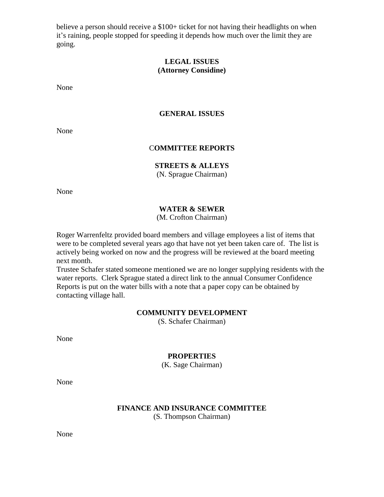believe a person should receive a \$100+ ticket for not having their headlights on when it's raining, people stopped for speeding it depends how much over the limit they are going.

# **LEGAL ISSUES (Attorney Considine)**

None

## **GENERAL ISSUES**

None

#### C**OMMITTEE REPORTS**

# **STREETS & ALLEYS**

(N. Sprague Chairman)

None

# **WATER & SEWER**

(M. Crofton Chairman)

Roger Warrenfeltz provided board members and village employees a list of items that were to be completed several years ago that have not yet been taken care of. The list is actively being worked on now and the progress will be reviewed at the board meeting next month.

Trustee Schafer stated someone mentioned we are no longer supplying residents with the water reports. Clerk Sprague stated a direct link to the annual Consumer Confidence Reports is put on the water bills with a note that a paper copy can be obtained by contacting village hall.

#### **COMMUNITY DEVELOPMENT**

(S. Schafer Chairman)

None

### **PROPERTIES**

(K. Sage Chairman)

None

## **FINANCE AND INSURANCE COMMITTEE** (S. Thompson Chairman)

None